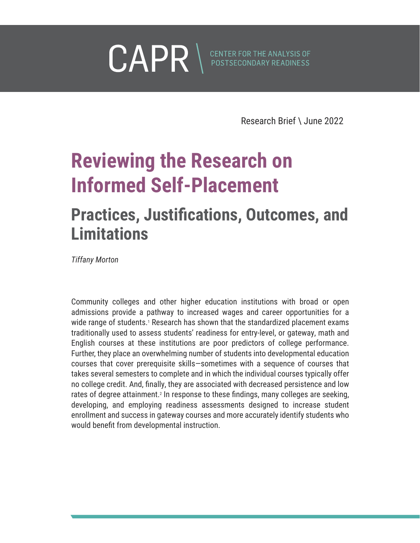<span id="page-0-0"></span>

Research Brief \ June 2022

## **Reviewing the Research on Informed Self-Placement**

## **Practices, Justifications, Outcomes, and Limitations**

*Tiffany Morton*

Community colleges and other higher education institutions with broad or open admissions provide a pathway to increased wages and career opportunities for a wide range of students.<sup>[1](#page-13-0)</sup> Research has shown that the standardized placement exams traditionally used to assess students' readiness for entry-level, or gateway, math and English courses at these institutions are poor predictors of college performance. Further, they place an overwhelming number of students into developmental education courses that cover prerequisite skills—sometimes with a sequence of courses that takes several semesters to complete and in which the individual courses typically offer no college credit. And, finally, they are associated with decreased persistence and low rates of degree attainment.<sup>[2](#page-13-0)</sup> In response to these findings, many colleges are seeking, developing, and employing readiness assessments designed to increase student enrollment and success in gateway courses and more accurately identify students who would benefit from developmental instruction.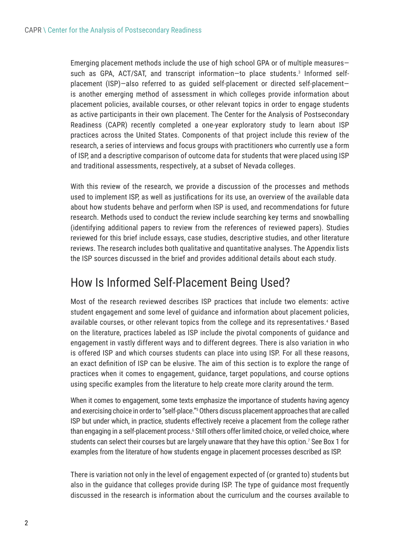<span id="page-1-0"></span>Emerging placement methods include the use of high school GPA or of multiple measures such as GPA, ACT/SAT, and transcript information-to place students.<sup>3</sup> Informed selfplacement (ISP)—also referred to as guided self-placement or directed self-placement is another emerging method of assessment in which colleges provide information about placement policies, available courses, or other relevant topics in order to engage students as active participants in their own placement. The Center for the Analysis of Postsecondary Readiness (CAPR) recently completed a one-year exploratory study to learn about ISP practices across the United States. Components of that project include this review of the research, a series of interviews and focus groups with practitioners who currently use a form of ISP, and a descriptive comparison of outcome data for students that were placed using ISP and traditional assessments, respectively, at a subset of Nevada colleges.

With this review of the research, we provide a discussion of the processes and methods used to implement ISP, as well as justifications for its use, an overview of the available data about how students behave and perform when ISP is used, and recommendations for future research. Methods used to conduct the review include searching key terms and snowballing (identifying additional papers to review from the references of reviewed papers). Studies reviewed for this brief include essays, case studies, descriptive studies, and other literature reviews. The research includes both qualitative and quantitative analyses. The Appendix lists the ISP sources discussed in the brief and provides additional details about each study.

## How Is Informed Self-Placement Being Used?

Most of the research reviewed describes ISP practices that include two elements: active student engagement and some level of guidance and information about placement policies, available courses, or other relevant topics from the college and its representatives.<sup>[4](#page-13-0)</sup> Based on the literature, practices labeled as ISP include the pivotal components of guidance and engagement in vastly different ways and to different degrees. There is also variation in who is offered ISP and which courses students can place into using ISP. For all these reasons, an exact definition of ISP can be elusive. The aim of this section is to explore the range of practices when it comes to engagement, guidance, target populations, and course options using specific examples from the literature to help create more clarity around the term.

When it comes to engagement, some texts emphasize the importance of students having agency and exercising choice in order to "self-place.["5](#page-13-0) Others discuss placement approaches that are called ISP but under which, in practice, students effectively receive a placement from the college rather than engaging in a self-placement process.<sup>6</sup> Still others offer limited choice, or veiled choice, where students can select their courses but are largely unaware that they have this option.<sup>7</sup> See Box 1 for examples from the literature of how students engage in placement processes described as ISP.

There is variation not only in the level of engagement expected of (or granted to) students but also in the guidance that colleges provide during ISP. The type of guidance most frequently discussed in the research is information about the curriculum and the courses available to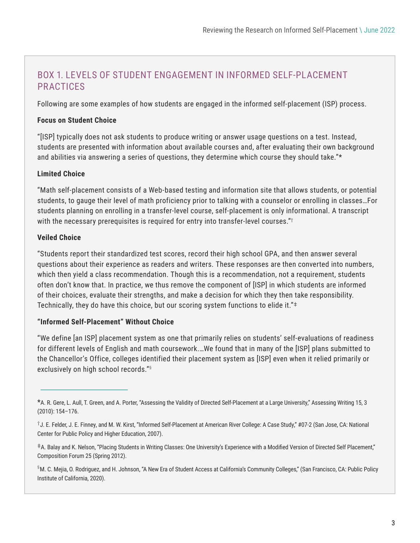#### BOX 1. LEVELS OF STUDENT ENGAGEMENT IN INFORMED SELF-PLACEMENT PRACTICES

Following are some examples of how students are engaged in the informed self-placement (ISP) process.

#### **Focus on Student Choice**

"[ISP] typically does not ask students to produce writing or answer usage questions on a test. Instead, students are presented with information about available courses and, after evaluating their own background and abilities via answering a series of questions, they determine which course they should take."\*

#### **Limited Choice**

"Math self-placement consists of a Web-based testing and information site that allows students, or potential students, to gauge their level of math proficiency prior to talking with a counselor or enrolling in classes…For students planning on enrolling in a transfer-level course, self-placement is only informational. A transcript with the necessary prerequisites is required for entry into transfer-level courses."†

#### **Veiled Choice**

"Students report their standardized test scores, record their high school GPA, and then answer several questions about their experience as readers and writers. These responses are then converted into numbers, which then yield a class recommendation. Though this is a recommendation, not a requirement, students often don't know that. In practice, we thus remove the component of [ISP] in which students are informed of their choices, evaluate their strengths, and make a decision for which they then take responsibility. Technically, they do have this choice, but our scoring system functions to elide it."‡

#### **"Informed Self-Placement" Without Choice**

"We define [an ISP] placement system as one that primarily relies on students' self-evaluations of readiness for different levels of English and math coursework.…We found that in many of the [ISP] plans submitted to the Chancellor's Office, colleges identified their placement system as [ISP] even when it relied primarily or exclusively on high school records."§

‡A. Balay and K. Nelson, "Placing Students in Writing Classes: One University's Experience with a Modified Version of Directed Self Placement," Composition Forum 25 (Spring 2012).

§M. C. Mejia, O. Rodriguez, and H. Johnson, "A New Era of Student Access at California's Community Colleges," (San Francisco, CA: Public Policy Institute of California, 2020).

<sup>\*</sup>A. R. Gere, L. Aull, T. Green, and A. Porter, "Assessing the Validity of Directed Self-Placement at a Large University," Assessing Writing 15, 3 (2010): 154–176.

<sup>†</sup>J. E. Felder, J. E. Finney, and M. W. Kirst, "Informed Self-Placement at American River College: A Case Study," #07-2 (San Jose, CA: National Center for Public Policy and Higher Education, 2007).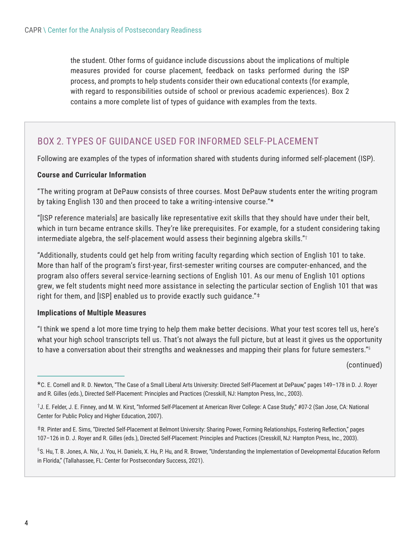the student. Other forms of guidance include discussions about the implications of multiple measures provided for course placement, feedback on tasks performed during the ISP process, and prompts to help students consider their own educational contexts (for example, with regard to responsibilities outside of school or previous academic experiences). Box 2 contains a more complete list of types of guidance with examples from the texts.

#### BOX 2. TYPES OF GUIDANCE USED FOR INFORMED SELF-PLACEMENT

Following are examples of the types of information shared with students during informed self-placement (ISP).

#### **Course and Curricular Information**

"The writing program at DePauw consists of three courses. Most DePauw students enter the writing program by taking English 130 and then proceed to take a writing-intensive course."\*

"[ISP reference materials] are basically like representative exit skills that they should have under their belt, which in turn became entrance skills. They're like prerequisites. For example, for a student considering taking intermediate algebra, the self-placement would assess their beginning algebra skills."†

"Additionally, students could get help from writing faculty regarding which section of English 101 to take. More than half of the program's first-year, first-semester writing courses are computer-enhanced, and the program also offers several service-learning sections of English 101. As our menu of English 101 options grew, we felt students might need more assistance in selecting the particular section of English 101 that was right for them, and [ISP] enabled us to provide exactly such guidance."‡

#### **Implications of Multiple Measures**

"I think we spend a lot more time trying to help them make better decisions. What your test scores tell us, here's what your high school transcripts tell us. That's not always the full picture, but at least it gives us the opportunity to have a conversation about their strengths and weaknesses and mapping their plans for future semesters." $\frac{s}{2}$ 

(continued)

 $^{\S}$ S. Hu, T. B. Jones, A. Nix, J. You, H. Daniels, X. Hu, P. Hu, and R. Brower, "Understanding the Implementation of Developmental Education Reform in Florida," (Tallahassee, FL: Center for Postsecondary Success, 2021).

<sup>\*</sup>C. E. Cornell and R. D. Newton, "The Case of a Small Liberal Arts University: Directed Self-Placement at DePauw," pages 149–178 in D. J. Royer and R. Gilles (eds.), Directed Self-Placement: Principles and Practices (Cresskill, NJ: Hampton Press, Inc., 2003).

<sup>†</sup>J. E. Felder, J. E. Finney, and M. W. Kirst, "Informed Self-Placement at American River College: A Case Study," #07-2 (San Jose, CA: National Center for Public Policy and Higher Education, 2007).

<sup>‡</sup>R. Pinter and E. Sims, "Directed Self-Placement at Belmont University: Sharing Power, Forming Relationships, Fostering Reflection," pages 107–126 in D. J. Royer and R. Gilles (eds.), Directed Self-Placement: Principles and Practices (Cresskill, NJ: Hampton Press, Inc., 2003).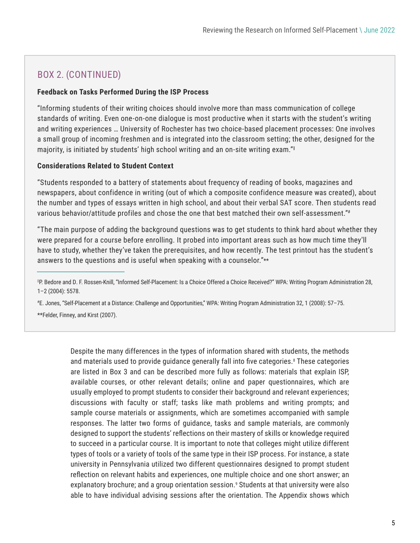#### <span id="page-4-0"></span>BOX 2. (CONTINUED)

#### **Feedback on Tasks Performed During the ISP Process**

"Informing students of their writing choices should involve more than mass communication of college standards of writing. Even one-on-one dialogue is most productive when it starts with the student's writing and writing experiences … University of Rochester has two choice-based placement processes: One involves a small group of incoming freshmen and is integrated into the classroom setting; the other, designed for the majority, is initiated by students' high school writing and an on-site writing exam."‖

#### **Considerations Related to Student Context**

"Students responded to a battery of statements about frequency of reading of books, magazines and newspapers, about confidence in writing (out of which a composite confidence measure was created), about the number and types of essays written in high school, and about their verbal SAT score. Then students read various behavior/attitude profiles and chose the one that best matched their own self-assessment."#

"The main purpose of adding the background questions was to get students to think hard about whether they were prepared for a course before enrolling. It probed into important areas such as how much time they'll have to study, whether they've taken the prerequisites, and how recently. The test printout has the student's answers to the questions and is useful when speaking with a counselor."\*\*

# E. Jones, "Self-Placement at a Distance: Challenge and Opportunities," WPA: Writing Program Administration 32, 1 (2008): 57–75. \*\*Felder, Finney, and Kirst (2007).

> Despite the many differences in the types of information shared with students, the methods and materials used to provide guidance generally fall into five categories.<sup>[8](#page-13-0)</sup> These categories are listed in Box 3 and can be described more fully as follows: materials that explain ISP, available courses, or other relevant details; online and paper questionnaires, which are usually employed to prompt students to consider their background and relevant experiences; discussions with faculty or staff; tasks like math problems and writing prompts; and sample course materials or assignments, which are sometimes accompanied with sample responses. The latter two forms of guidance, tasks and sample materials, are commonly designed to support the students' reflections on their mastery of skills or knowledge required to succeed in a particular course. It is important to note that colleges might utilize different types of tools or a variety of tools of the same type in their ISP process. For instance, a state university in Pennsylvania utilized two different questionnaires designed to prompt student reflection on relevant habits and experiences, one multiple choice and one short answer; an explanatory brochure; and a group orientation session.<sup>9</sup> Students at that university were also able to have individual advising sessions after the orientation. The Appendix shows which

<sup>||</sup>P. Bedore and D. F. Rossen-Knill, "Informed Self-Placement: Is a Choice Offered a Choice Received?" WPA: Writing Program Administration 28, 1–2 (2004): 5578.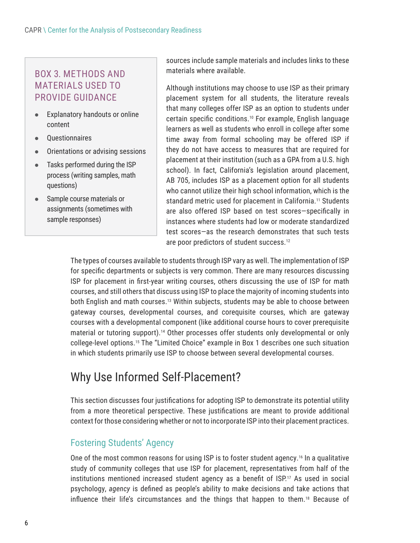#### <span id="page-5-0"></span>BOX 3. METHODS AND MATERIALS USED TO PROVIDE GUIDANCE

- $\bullet$  Explanatory handouts or online content
- Questionnaires
- Orientations or advising sessions
- $\bullet$  Tasks performed during the ISP process (writing samples, math questions)
- Sample course materials or assignments (sometimes with sample responses)

sources include sample materials and includes links to these materials where available.

Although institutions may choose to use ISP as their primary placement system for all students, the literature reveals that many colleges offer ISP as an option to students under certain specific conditions.[10](#page-13-0) For example, English language learners as well as students who enroll in college after some time away from formal schooling may be offered ISP if they do not have access to measures that are required for placement at their institution (such as a GPA from a U.S. high school). In fact, California's legislation around placement, AB 705, includes ISP as a placement option for all students who cannot utilize their high school information, which is the standard metric used for placement in California.<sup>11</sup> Students are also offered ISP based on test scores—specifically in instances where students had low or moderate standardized test scores—as the research demonstrates that such tests are poor predictors of student success.<sup>12</sup>

The types of courses available to students through ISP vary as well. The implementation of ISP for specific departments or subjects is very common. There are many resources discussing ISP for placement in first-year writing courses, others discussing the use of ISP for math courses, and still others that discuss using ISP to place the majority of incoming students into both English and math courses.<sup>13</sup> Within subjects, students may be able to choose between gateway courses, developmental courses, and corequisite courses, which are gateway courses with a developmental component (like additional course hours to cover prerequisite material or tutoring support).[14](#page-13-0) Other processes offer students only developmental or only college-level options.[15](#page-13-0) The "Limited Choice" example in Box 1 describes one such situation in which students primarily use ISP to choose between several developmental courses.

## Why Use Informed Self-Placement?

This section discusses four justifications for adopting ISP to demonstrate its potential utility from a more theoretical perspective. These justifications are meant to provide additional context for those considering whether or not to incorporate ISP into their placement practices.

#### Fostering Students' Agency

One of the most common reasons for using ISP is to foster student agency.[16](#page-13-0) In a qualitative study of community colleges that use ISP for placement, representatives from half of the institutions mentioned increased student agency as a benefit of ISP.<sup>[17](#page-13-0)</sup> As used in social psychology, *agency* is defined as people's ability to make decisions and take actions that influence their life's circumstances and the things that happen to them.[18](#page-13-0) Because of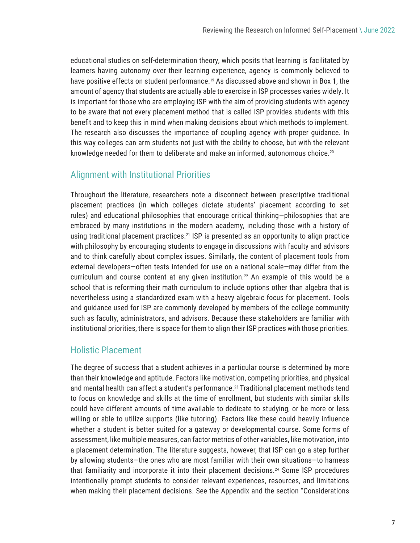<span id="page-6-0"></span>educational studies on self-determination theory, which posits that learning is facilitated by learners having autonomy over their learning experience, agency is commonly believed to have positive effects on student performance.<sup>[19](#page-13-0)</sup> As discussed above and shown in Box 1, the amount of agency that students are actually able to exercise in ISP processes varies widely. It is important for those who are employing ISP with the aim of providing students with agency to be aware that not every placement method that is called ISP provides students with this benefit and to keep this in mind when making decisions about which methods to implement. The research also discusses the importance of coupling agency with proper guidance. In this way colleges can arm students not just with the ability to choose, but with the relevant knowledge needed for them to deliberate and make an informed, autonomous choice.<sup>[20](#page-13-0)</sup>

#### Alignment with Institutional Priorities

Throughout the literature, researchers note a disconnect between prescriptive traditional placement practices (in which colleges dictate students' placement according to set rules) and educational philosophies that encourage critical thinking—philosophies that are embraced by many institutions in the modern academy, including those with a history of using traditional placement practices.<sup>21</sup> ISP is presented as an opportunity to align practice with philosophy by encouraging students to engage in discussions with faculty and advisors and to think carefully about complex issues. Similarly, the content of placement tools from external developers—often tests intended for use on a national scale—may differ from the curriculum and course content at any given institution.<sup>22</sup> An example of this would be a school that is reforming their math curriculum to include options other than algebra that is nevertheless using a standardized exam with a heavy algebraic focus for placement. Tools and guidance used for ISP are commonly developed by members of the college community such as faculty, administrators, and advisors. Because these stakeholders are familiar with institutional priorities, there is space for them to align their ISP practices with those priorities.

#### Holistic Placement

The degree of success that a student achieves in a particular course is determined by more than their knowledge and aptitude. Factors like motivation, competing priorities, and physical and mental health can affect a student's performance.<sup>23</sup> Traditional placement methods tend to focus on knowledge and skills at the time of enrollment, but students with similar skills could have different amounts of time available to dedicate to studying, or be more or less willing or able to utilize supports (like tutoring). Factors like these could heavily influence whether a student is better suited for a gateway or developmental course. Some forms of assessment, like multiple measures, can factor metrics of other variables, like motivation, into a placement determination. The literature suggests, however, that ISP can go a step further by allowing students—the ones who are most familiar with their own situations—to harness that familiarity and incorporate it into their placement decisions.[24](#page-13-0) Some ISP procedures intentionally prompt students to consider relevant experiences, resources, and limitations when making their placement decisions. See the Appendix and the section "Considerations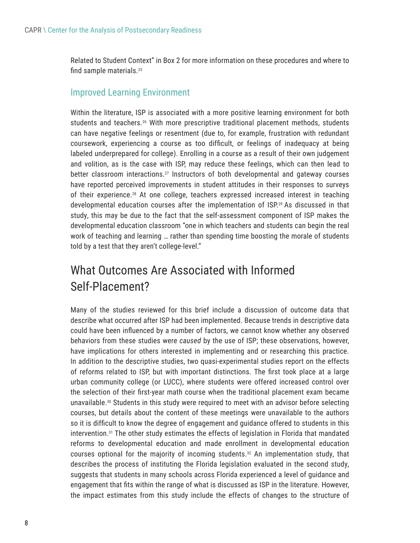<span id="page-7-0"></span>Related to Student Context" in Box 2 for more information on these procedures and where to find sample materials.[25](#page-13-0)

#### Improved Learning Environment

Within the literature, ISP is associated with a more positive learning environment for both students and teachers.<sup>26</sup> With more prescriptive traditional placement methods, students can have negative feelings or resentment (due to, for example, frustration with redundant coursework, experiencing a course as too difficult, or feelings of inadequacy at being labeled underprepared for college). Enrolling in a course as a result of their own judgement and volition, as is the case with ISP, may reduce these feelings, which can then lead to better classroom interactions.<sup>27</sup> Instructors of both developmental and gateway courses have reported perceived improvements in student attitudes in their responses to surveys of their experience.[28](#page-13-0) At one college, teachers expressed increased interest in teaching developmental education courses after the implementation of ISP[.29](#page-13-0) As discussed in that study, this may be due to the fact that the self-assessment component of ISP makes the developmental education classroom "one in which teachers and students can begin the real work of teaching and learning … rather than spending time boosting the morale of students told by a test that they aren't college-level."

## What Outcomes Are Associated with Informed Self-Placement?

Many of the studies reviewed for this brief include a discussion of outcome data that describe what occurred after ISP had been implemented. Because trends in descriptive data could have been influenced by a number of factors, we cannot know whether any observed behaviors from these studies were *caused* by the use of ISP; these observations, however, have implications for others interested in implementing and or researching this practice. In addition to the descriptive studies, two quasi-experimental studies report on the effects of reforms related to ISP, but with important distinctions. The first took place at a large urban community college (or LUCC), where students were offered increased control over the selection of their first-year math course when the traditional placement exam became unavailable[.30](#page-13-0) Students in this study were required to meet with an advisor before selecting courses, but details about the content of these meetings were unavailable to the authors so it is difficult to know the degree of engagement and guidance offered to students in this intervention.[31](#page-13-0) The other study estimates the effects of legislation in Florida that mandated reforms to developmental education and made enrollment in developmental education courses optional for the majority of incoming students.<sup>32</sup> An implementation study, that describes the process of instituting the Florida legislation evaluated in the second study, suggests that students in many schools across Florida experienced a level of guidance and engagement that fits within the range of what is discussed as ISP in the literature. However, the impact estimates from this study include the effects of changes to the structure of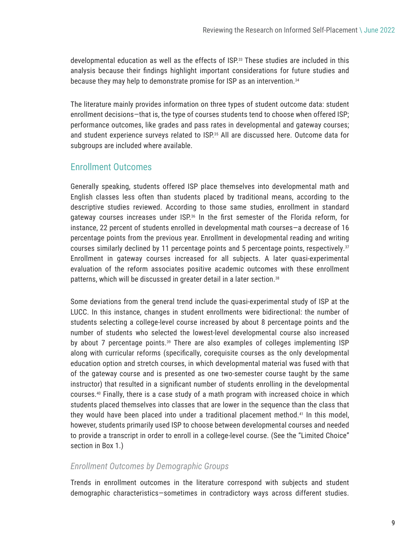<span id="page-8-0"></span>developmental education as well as the effects of ISP.<sup>33</sup> These studies are included in this analysis because their findings highlight important considerations for future studies and because they may help to demonstrate promise for ISP as an intervention.<sup>34</sup>

The literature mainly provides information on three types of student outcome data: student enrollment decisions—that is, the type of courses students tend to choose when offered ISP; performance outcomes, like grades and pass rates in developmental and gateway courses; and student experience surveys related to ISP.[35](#page-14-0) All are discussed here. Outcome data for subgroups are included where available.

#### Enrollment Outcomes

Generally speaking, students offered ISP place themselves into developmental math and English classes less often than students placed by traditional means, according to the descriptive studies reviewed. According to those same studies, enrollment in standard gateway courses increases under ISP.[36](#page-14-0) In the first semester of the Florida reform, for instance, 22 percent of students enrolled in developmental math courses—a decrease of 16 percentage points from the previous year. Enrollment in developmental reading and writing courses similarly declined by 11 percentage points and 5 percentage points, respectively[.37](#page-14-0) Enrollment in gateway courses increased for all subjects. A later quasi-experimental evaluation of the reform associates positive academic outcomes with these enrollment patterns, which will be discussed in greater detail in a later section.<sup>[38](#page-14-0)</sup>

Some deviations from the general trend include the quasi-experimental study of ISP at the LUCC. In this instance, changes in student enrollments were bidirectional: the number of students selecting a college-level course increased by about 8 percentage points and the number of students who selected the lowest-level developmental course also increased by about 7 percentage points[.39](#page-14-0) There are also examples of colleges implementing ISP along with curricular reforms (specifically, corequisite courses as the only developmental education option and stretch courses, in which developmental material was fused with that of the gateway course and is presented as one two-semester course taught by the same instructor) that resulted in a significant number of students enrolling in the developmental courses.[40](#page-14-0) Finally, there is a case study of a math program with increased choice in which students placed themselves into classes that are lower in the sequence than the class that they would have been placed into under a traditional placement method.<sup>[41](#page-14-0)</sup> In this model, however, students primarily used ISP to choose between developmental courses and needed to provide a transcript in order to enroll in a college-level course. (See the "Limited Choice" section in Box 1.)

#### *Enrollment Outcomes by Demographic Groups*

Trends in enrollment outcomes in the literature correspond with subjects and student demographic characteristics—sometimes in contradictory ways across different studies.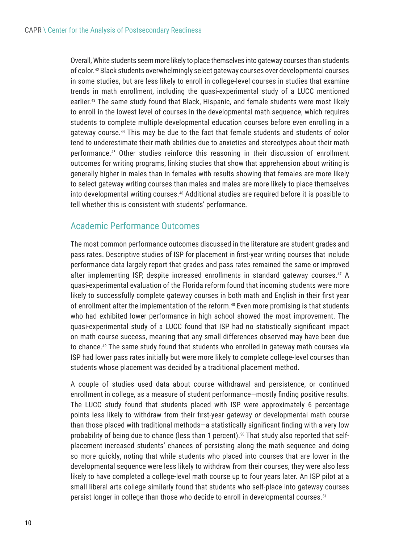<span id="page-9-0"></span>Overall, White students seem more likely to place themselves into gateway courses than students of color.[42](#page-14-0) Black students overwhelmingly select gateway courses over developmental courses in some studies, but are less likely to enroll in college-level courses in studies that examine trends in math enrollment, including the quasi-experimental study of a LUCC mentioned earlier.<sup>43</sup> The same study found that Black, Hispanic, and female students were most likely to enroll in the lowest level of courses in the developmental math sequence, which requires students to complete multiple developmental education courses before even enrolling in a gateway course[.44](#page-14-0) This may be due to the fact that female students and students of color tend to underestimate their math abilities due to anxieties and stereotypes about their math performance.[45](#page-14-0) Other studies reinforce this reasoning in their discussion of enrollment outcomes for writing programs, linking studies that show that apprehension about writing is generally higher in males than in females with results showing that females are more likely to select gateway writing courses than males and males are more likely to place themselves into developmental writing courses.[46](#page-14-0) Additional studies are required before it is possible to tell whether this is consistent with students' performance.

#### Academic Performance Outcomes

The most common performance outcomes discussed in the literature are student grades and pass rates. Descriptive studies of ISP for placement in first-year writing courses that include performance data largely report that grades and pass rates remained the same or improved after implementing ISP, despite increased enrollments in standard gateway courses[.47](#page-14-0) A quasi-experimental evaluation of the Florida reform found that incoming students were more likely to successfully complete gateway courses in both math and English in their first year of enrollment after the implementation of the reform.<sup>48</sup> Even more promising is that students who had exhibited lower performance in high school showed the most improvement. The quasi-experimental study of a LUCC found that ISP had no statistically significant impact on math course success, meaning that any small differences observed may have been due to chance.<sup>[49](#page-14-0)</sup> The same study found that students who enrolled in gateway math courses via ISP had lower pass rates initially but were more likely to complete college-level courses than students whose placement was decided by a traditional placement method.

A couple of studies used data about course withdrawal and persistence, or continued enrollment in college, as a measure of student performance—mostly finding positive results. The LUCC study found that students placed with ISP were approximately 6 percentage points less likely to withdraw from their first-year gateway *or* developmental math course than those placed with traditional methods—a statistically significant finding with a very low probability of being due to chance (less than 1 percent).<sup>50</sup> That study also reported that selfplacement increased students' chances of persisting along the math sequence and doing so more quickly, noting that while students who placed into courses that are lower in the developmental sequence were less likely to withdraw from their courses, they were also less likely to have completed a college-level math course up to four years later. An ISP pilot at a small liberal arts college similarly found that students who self-place into gateway courses persist longer in college than those who decide to enroll in developmental courses.<sup>51</sup>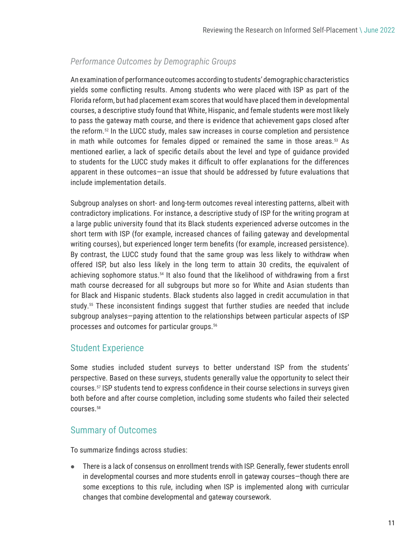#### <span id="page-10-0"></span>*Performance Outcomes by Demographic Groups*

An examination of performance outcomes according to students' demographic characteristics yields some conflicting results. Among students who were placed with ISP as part of the Florida reform, but had placement exam scores that would have placed them in developmental courses, a descriptive study found that White, Hispanic, and female students were most likely to pass the gateway math course, and there is evidence that achievement gaps closed after the reform.[52](#page-14-0) In the LUCC study, males saw increases in course completion and persistence in math while outcomes for females dipped or remained the same in those areas. $53$  As mentioned earlier, a lack of specific details about the level and type of guidance provided to students for the LUCC study makes it difficult to offer explanations for the differences apparent in these outcomes—an issue that should be addressed by future evaluations that include implementation details.

Subgroup analyses on short- and long-term outcomes reveal interesting patterns, albeit with contradictory implications. For instance, a descriptive study of ISP for the writing program at a large public university found that its Black students experienced adverse outcomes in the short term with ISP (for example, increased chances of failing gateway and developmental writing courses), but experienced longer term benefits (for example, increased persistence). By contrast, the LUCC study found that the same group was less likely to withdraw when offered ISP, but also less likely in the long term to attain 30 credits, the equivalent of achieving sophomore status.<sup>[54](#page-14-0)</sup> It also found that the likelihood of withdrawing from a first math course decreased for all subgroups but more so for White and Asian students than for Black and Hispanic students. Black students also lagged in credit accumulation in that study.[55](#page-14-0) These inconsistent findings suggest that further studies are needed that include subgroup analyses—paying attention to the relationships between particular aspects of ISP processes and outcomes for particular groups.[56](#page-14-0)

#### Student Experience

Some studies included student surveys to better understand ISP from the students' perspective. Based on these surveys, students generally value the opportunity to select their courses.[57](#page-14-0) ISP students tend to express confidence in their course selections in surveys given both before and after course completion, including some students who failed their selected courses.[58](#page-14-0)

#### Summary of Outcomes

To summarize findings across studies:

z There is a lack of consensus on enrollment trends with ISP. Generally, fewer students enroll in developmental courses and more students enroll in gateway courses—though there are some exceptions to this rule, including when ISP is implemented along with curricular changes that combine developmental and gateway coursework.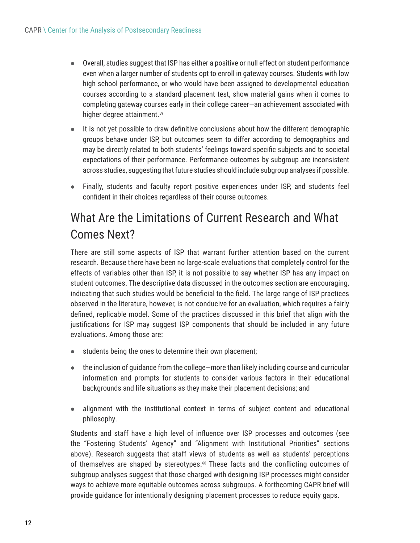- <span id="page-11-0"></span> $\bullet$  Overall, studies suggest that ISP has either a positive or null effect on student performance even when a larger number of students opt to enroll in gateway courses. Students with low high school performance, or who would have been assigned to developmental education courses according to a standard placement test, show material gains when it comes to completing gateway courses early in their college career—an achievement associated with higher degree attainment.<sup>59</sup>
- $\bullet$  It is not yet possible to draw definitive conclusions about how the different demographic groups behave under ISP, but outcomes seem to differ according to demographics and may be directly related to both students' feelings toward specific subjects and to societal expectations of their performance. Performance outcomes by subgroup are inconsistent across studies, suggesting that future studies should include subgroup analyses if possible.
- Finally, students and faculty report positive experiences under ISP, and students feel confident in their choices regardless of their course outcomes.

## What Are the Limitations of Current Research and What Comes Next?

There are still some aspects of ISP that warrant further attention based on the current research. Because there have been no large-scale evaluations that completely control for the effects of variables other than ISP, it is not possible to say whether ISP has any impact on student outcomes. The descriptive data discussed in the outcomes section are encouraging, indicating that such studies would be beneficial to the field. The large range of ISP practices observed in the literature, however, is not conducive for an evaluation, which requires a fairly defined, replicable model. Some of the practices discussed in this brief that align with the justifications for ISP may suggest ISP components that should be included in any future evaluations. Among those are:

- students being the ones to determine their own placement;
- $\bullet$  the inclusion of guidance from the college—more than likely including course and curricular information and prompts for students to consider various factors in their educational backgrounds and life situations as they make their placement decisions; and
- $\bullet$  alignment with the institutional context in terms of subject content and educational philosophy.

Students and staff have a high level of influence over ISP processes and outcomes (see the "Fostering Students' Agency" and "Alignment with Institutional Priorities" sections above). Research suggests that staff views of students as well as students' perceptions of themselves are shaped by stereotypes.<sup>[60](#page-14-0)</sup> These facts and the conflicting outcomes of subgroup analyses suggest that those charged with designing ISP processes might consider ways to achieve more equitable outcomes across subgroups. A forthcoming CAPR brief will provide guidance for intentionally designing placement processes to reduce equity gaps.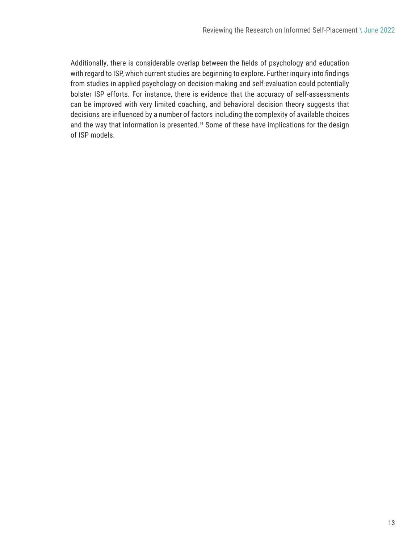<span id="page-12-0"></span>Additionally, there is considerable overlap between the fields of psychology and education with regard to ISP, which current studies are beginning to explore. Further inquiry into findings from studies in applied psychology on decision-making and self-evaluation could potentially bolster ISP efforts. For instance, there is evidence that the accuracy of self-assessments can be improved with very limited coaching, and behavioral decision theory suggests that decisions are influenced by a number of factors including the complexity of available choices and the way that information is presented.<sup>61</sup> Some of these have implications for the design of ISP models.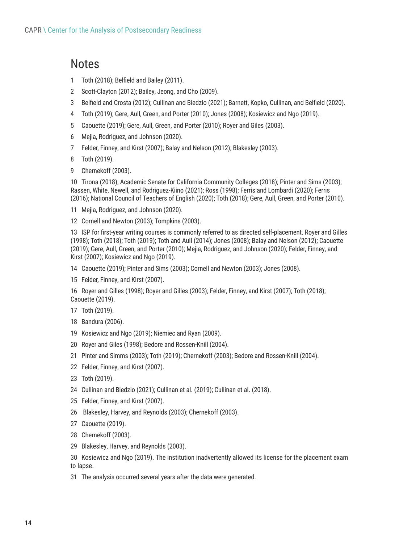### <span id="page-13-0"></span>**Notes**

- Toth (2018); Belfield and Bailey (2011).
- Scott-Clayton (2012); Bailey, Jeong, and Cho (2009).
- Belfield and Crosta (2012); Cullinan and Biedzio (2021); Barnett, Kopko, Cullinan, and Belfield (2020).
- Toth (2019); Gere, Aull, Green, and Porter (2010); Jones (2008); Kosiewicz and Ngo (2019).
- Caouette (2019); Gere, Aull, Green, and Porter (2010); Royer and Giles (2003).
- Mejia, Rodriguez, and Johnson (2020).
- Felder, Finney, and Kirst (2007); Balay and Nelson (2012); Blakesley (2003).
- Toth (2019).
- Chernekoff (2003).

 Tirona (2018); Academic Senate for California Community Colleges (2018); Pinter and Sims (2003); Rassen, White, Newell, and Rodriguez-Kiino (2021); Ross (1998); Ferris and Lombardi (2020); Ferris (2016); National Council of Teachers of English (2020); Toth (2018); Gere, Aull, Green, and Porter (2010).

Mejia, Rodriguez, and Johnson (2020).

Cornell and Newton (2003); Tompkins (2003).

 ISP for first-year writing courses is commonly referred to as directed self-placement. Royer and Gilles (1998); Toth (2018); Toth (2019); Toth and Aull (2014); Jones (2008); Balay and Nelson (2012); Caouette (2019); Gere, Aull, Green, and Porter (2010); Mejia, Rodriguez, and Johnson (2020); Felder, Finney, and Kirst (2007); Kosiewicz and Ngo (2019).

- Caouette (2019); Pinter and Sims (2003); Cornell and Newton (2003); Jones (2008).
- Felder, Finney, and Kirst (2007).

 Royer and Gilles (1998); Royer and Gilles (2003); Felder, Finney, and Kirst (2007); Toth (2018); Caouette (2019).

- Toth (2019).
- Bandura (2006).
- Kosiewicz and Ngo (2019); Niemiec and Ryan (2009).
- Royer and Giles (1998); Bedore and Rossen-Knill (2004).
- Pinter and Simms (2003); Toth (2019); Chernekoff (2003); Bedore and Rossen-Knill (2004).
- Felder, Finney, and Kirst (2007).
- Toth (2019).
- Cullinan and Biedzio (2021); Cullinan et al. (2019); Cullinan et al. (2018).
- Felder, Finney, and Kirst (2007).
- Blakesley, Harvey, and Reynolds (2003); Chernekoff (2003).
- Caouette (2019).
- Chernekoff (2003).
- Blakesley, Harvey, and Reynolds (2003).

 Kosiewicz and Ngo (2019). The institution inadvertently allowed its license for the placement exam to lapse.

The analysis occurred several years after the data were generated.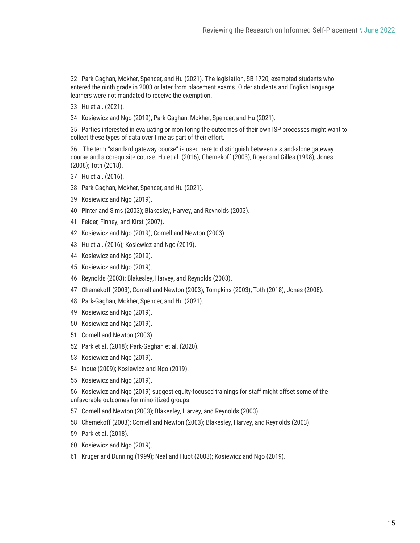<span id="page-14-0"></span> Park-Gaghan, Mokher, Spencer, and Hu (2021). The legislation, SB 1720, exempted students who entered the ninth grade in 2003 or later from placement exams. Older students and English language learners were not mandated to receive the exemption.

- Hu et al. (2021).
- Kosiewicz and Ngo (2019); Park-Gaghan, Mokher, Spencer, and Hu (2021).

 Parties interested in evaluating or monitoring the outcomes of their own ISP processes might want to collect these types of data over time as part of their effort.

 The term "standard gateway course" is used here to distinguish between a stand-alone gateway course and a corequisite course. Hu et al. (2016); Chernekoff (2003); Royer and Gilles (1998); Jones (2008); Toth (2018).

- Hu et al. (2016).
- Park-Gaghan, Mokher, Spencer, and Hu (2021).
- Kosiewicz and Ngo (2019).
- Pinter and Sims (2003); Blakesley, Harvey, and Reynolds (2003).
- Felder, Finney, and Kirst (2007).
- Kosiewicz and Ngo (2019); Cornell and Newton (2003).
- Hu et al. (2016); Kosiewicz and Ngo (2019).
- Kosiewicz and Ngo (2019).
- Kosiewicz and Ngo (2019).
- Reynolds (2003); Blakesley, Harvey, and Reynolds (2003).
- Chernekoff (2003); Cornell and Newton (2003); Tompkins (2003); Toth (2018); Jones (2008).
- Park-Gaghan, Mokher, Spencer, and Hu (2021).
- Kosiewicz and Ngo (2019).
- Kosiewicz and Ngo (2019).
- Cornell and Newton (2003).
- Park et al. (2018); Park-Gaghan et al. (2020).
- Kosiewicz and Ngo (2019).
- Inoue (2009); Kosiewicz and Ngo (2019).
- Kosiewicz and Ngo (2019).

 Kosiewicz and Ngo (2019) suggest equity-focused trainings for staff might offset some of the unfavorable outcomes for minoritized groups.

- Cornell and Newton (2003); Blakesley, Harvey, and Reynolds (2003).
- Chernekoff (2003); Cornell and Newton (2003); Blakesley, Harvey, and Reynolds (2003).
- Park et al. (2018).
- Kosiewicz and Ngo (2019).
- Kruger and Dunning (1999); Neal and Huot (2003); Kosiewicz and Ngo (2019).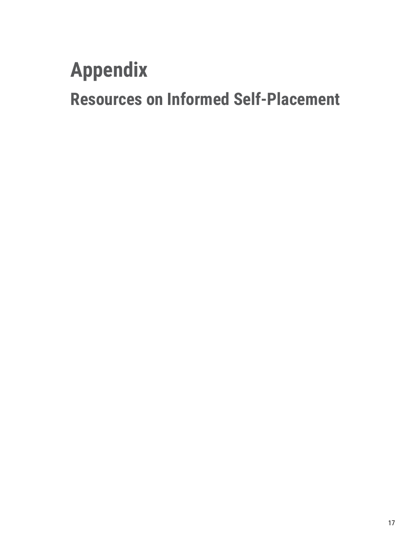# **Appendix**

**Resources on Informed Self-Placement**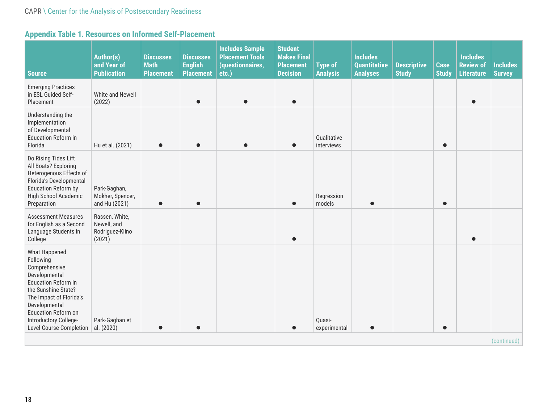### **Appendix Table 1. Resources on Informed Self-Placement**

| <b>Source</b>                                                                                                                                                                                                                            | Author(s)<br>and Year of<br><b>Publication</b>             | <b>Discusses</b><br><b>Math</b><br><b>Placement</b> | <b>Discusses</b><br><b>English</b><br><b>Placement</b> | <b>Includes Sample</b><br><b>Placement Tools</b><br>(questionnaires,<br>etc.) | <b>Student</b><br><b>Makes Final</b><br><b>Placement</b><br><b>Decision</b> | <b>Type of</b><br><b>Analysis</b> | <b>Includes</b><br><b>Quantitative</b><br><b>Analyses</b> | <b>Descriptive</b><br><b>Study</b> | <b>Case</b><br><b>Study</b> | <b>Includes</b><br><b>Review of</b><br><b>Literature</b> | <b>Includes</b><br><b>Survey</b> |
|------------------------------------------------------------------------------------------------------------------------------------------------------------------------------------------------------------------------------------------|------------------------------------------------------------|-----------------------------------------------------|--------------------------------------------------------|-------------------------------------------------------------------------------|-----------------------------------------------------------------------------|-----------------------------------|-----------------------------------------------------------|------------------------------------|-----------------------------|----------------------------------------------------------|----------------------------------|
| <b>Emerging Practices</b><br>in ESL Guided Self-<br>Placement                                                                                                                                                                            | White and Newell<br>(2022)                                 |                                                     |                                                        |                                                                               | $\bullet$                                                                   |                                   |                                                           |                                    |                             | $\bullet$                                                |                                  |
| Understanding the<br>Implementation<br>of Developmental<br><b>Education Reform in</b><br>Florida                                                                                                                                         | Hu et al. (2021)                                           | $\bullet$                                           |                                                        |                                                                               | $\bullet$                                                                   | Qualitative<br>interviews         |                                                           |                                    | $\bullet$                   |                                                          |                                  |
| Do Rising Tides Lift<br>All Boats? Exploring<br>Heterogenous Effects of<br>Florida's Developmental<br><b>Education Reform by</b><br>High School Academic<br>Preparation                                                                  | Park-Gaghan,<br>Mokher, Spencer,<br>and Hu (2021)          | $\bullet$                                           |                                                        |                                                                               |                                                                             | Regression<br>models              |                                                           |                                    | $\bullet$                   |                                                          |                                  |
| <b>Assessment Measures</b><br>for English as a Second<br>Language Students in<br>College                                                                                                                                                 | Rassen, White,<br>Newell, and<br>Rodriguez-Kiino<br>(2021) |                                                     |                                                        |                                                                               | $\bullet$                                                                   |                                   |                                                           |                                    |                             | $\bullet$                                                |                                  |
| What Happened<br>Following<br>Comprehensive<br>Developmental<br><b>Education Reform in</b><br>the Sunshine State?<br>The Impact of Florida's<br>Developmental<br>Education Reform on<br>Introductory College-<br>Level Course Completion | Park-Gaghan et<br>al. (2020)                               |                                                     |                                                        |                                                                               |                                                                             | Quasi-<br>experimental            | $\bullet$                                                 |                                    | $\bullet$                   |                                                          |                                  |
|                                                                                                                                                                                                                                          |                                                            |                                                     |                                                        |                                                                               |                                                                             |                                   |                                                           |                                    |                             |                                                          | (continued)                      |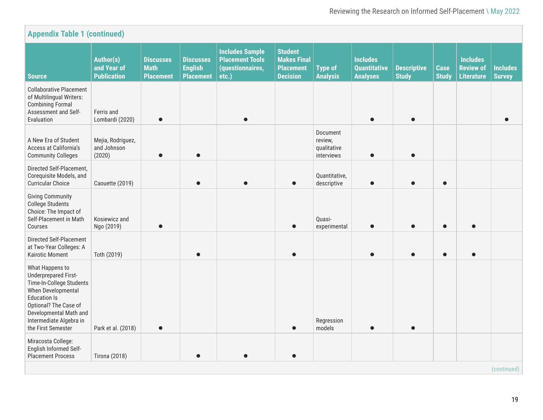| <b>Appendix Table 1 (continued)</b><br><b>Student</b>                                                                                                                                                                       |                                                       |                                                     |                                                        |                                                                               |                                                           |                                                  |                                                           |                                    |                             |                                                          |                                  |
|-----------------------------------------------------------------------------------------------------------------------------------------------------------------------------------------------------------------------------|-------------------------------------------------------|-----------------------------------------------------|--------------------------------------------------------|-------------------------------------------------------------------------------|-----------------------------------------------------------|--------------------------------------------------|-----------------------------------------------------------|------------------------------------|-----------------------------|----------------------------------------------------------|----------------------------------|
| <b>Source</b>                                                                                                                                                                                                               | <b>Author(s)</b><br>and Year of<br><b>Publication</b> | <b>Discusses</b><br><b>Math</b><br><b>Placement</b> | <b>Discusses</b><br><b>English</b><br><b>Placement</b> | <b>Includes Sample</b><br><b>Placement Tools</b><br>(questionnaires,<br>etc.) | <b>Makes Final</b><br><b>Placement</b><br><b>Decision</b> | <b>Type of</b><br><b>Analysis</b>                | <b>Includes</b><br><b>Quantitative</b><br><b>Analyses</b> | <b>Descriptive</b><br><b>Study</b> | <b>Case</b><br><b>Study</b> | <b>Includes</b><br><b>Review of</b><br><b>Literature</b> | <b>Includes</b><br><b>Survey</b> |
| <b>Collaborative Placement</b><br>of Multilingual Writers:<br><b>Combining Formal</b><br>Assessment and Self-<br>Evaluation                                                                                                 | Ferris and<br>Lombardi (2020)                         | $\bullet$                                           |                                                        |                                                                               |                                                           |                                                  |                                                           |                                    |                             |                                                          |                                  |
| A New Era of Student<br>Access at California's<br><b>Community Colleges</b>                                                                                                                                                 | Mejia, Rodriguez,<br>and Johnson<br>(2020)            |                                                     |                                                        |                                                                               |                                                           | Document<br>review,<br>qualitative<br>interviews |                                                           |                                    |                             |                                                          |                                  |
| Directed Self-Placement,<br>Corequisite Models, and<br><b>Curricular Choice</b>                                                                                                                                             | Caouette (2019)                                       |                                                     |                                                        |                                                                               |                                                           | Quantitative,<br>descriptive                     |                                                           |                                    | $\bullet$                   |                                                          |                                  |
| <b>Giving Community</b><br><b>College Students</b><br>Choice: The Impact of<br>Self-Placement in Math<br>Courses                                                                                                            | Kosiewicz and<br>Ngo (2019)                           |                                                     |                                                        |                                                                               |                                                           | Quasi-<br>experimental                           |                                                           |                                    | $\bullet$                   | $\bullet$                                                |                                  |
| Directed Self-Placement<br>at Two-Year Colleges: A<br><b>Kairotic Moment</b>                                                                                                                                                | Toth (2019)                                           |                                                     |                                                        |                                                                               |                                                           |                                                  |                                                           |                                    | $\bullet$                   | $\bullet$                                                |                                  |
| What Happens to<br><b>Underprepared First-</b><br>Time-In-College Students<br>When Developmental<br><b>Education Is</b><br>Optional? The Case of<br>Developmental Math and<br>Intermediate Algebra in<br>the First Semester | Park et al. (2018)                                    | $\bullet$                                           |                                                        |                                                                               |                                                           | Regression<br>models                             |                                                           |                                    |                             |                                                          |                                  |
| Miracosta College:<br>English Informed Self-<br><b>Placement Process</b>                                                                                                                                                    | <b>Tirona (2018)</b>                                  |                                                     |                                                        |                                                                               |                                                           |                                                  |                                                           |                                    |                             |                                                          |                                  |
|                                                                                                                                                                                                                             |                                                       |                                                     |                                                        |                                                                               |                                                           |                                                  |                                                           |                                    |                             |                                                          | (continued)                      |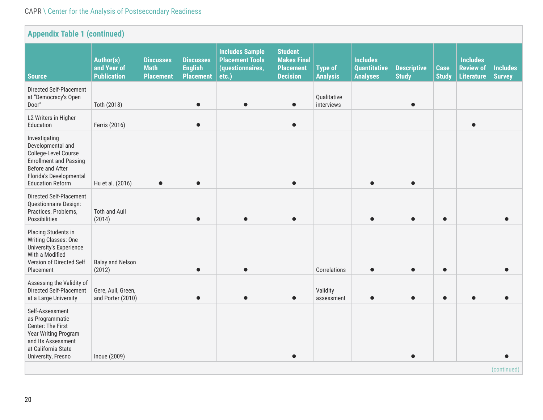#### CAPR \ Center for the Analysis of Postsecondary Readiness

| <b>Appendix Table 1 (continued)</b>                                                                                                                                   |                                                |                                                     |                                                        |                                                                               |                                                                             |                                   |                                                           |                                    |                             |                                                          |                                  |
|-----------------------------------------------------------------------------------------------------------------------------------------------------------------------|------------------------------------------------|-----------------------------------------------------|--------------------------------------------------------|-------------------------------------------------------------------------------|-----------------------------------------------------------------------------|-----------------------------------|-----------------------------------------------------------|------------------------------------|-----------------------------|----------------------------------------------------------|----------------------------------|
| <b>Source</b>                                                                                                                                                         | Author(s)<br>and Year of<br><b>Publication</b> | <b>Discusses</b><br><b>Math</b><br><b>Placement</b> | <b>Discusses</b><br><b>English</b><br><b>Placement</b> | <b>Includes Sample</b><br><b>Placement Tools</b><br>(questionnaires,<br>etc.) | <b>Student</b><br><b>Makes Final</b><br><b>Placement</b><br><b>Decision</b> | <b>Type of</b><br><b>Analysis</b> | <b>Includes</b><br><b>Quantitative</b><br><b>Analyses</b> | <b>Descriptive</b><br><b>Study</b> | <b>Case</b><br><b>Study</b> | <b>Includes</b><br><b>Review of</b><br><b>Literature</b> | <b>Includes</b><br><b>Survey</b> |
| Directed Self-Placement<br>at "Democracy's Open<br>Door"                                                                                                              | Toth (2018)                                    |                                                     | $\bullet$                                              |                                                                               | $\bullet$                                                                   | Qualitative<br>interviews         |                                                           | $\bullet$                          |                             |                                                          |                                  |
| L2 Writers in Higher<br>Education                                                                                                                                     | Ferris (2016)                                  |                                                     | $\bullet$                                              |                                                                               | $\bullet$                                                                   |                                   |                                                           |                                    |                             | $\bullet$                                                |                                  |
| Investigating<br>Developmental and<br>College-Level Course<br><b>Enrollment and Passing</b><br>Before and After<br>Florida's Developmental<br><b>Education Reform</b> | Hu et al. (2016)                               | $\bullet$                                           | $\bullet$                                              |                                                                               | $\bullet$                                                                   |                                   |                                                           | $\bullet$                          |                             |                                                          |                                  |
| Directed Self-Placement<br>Questionnaire Design:<br>Practices, Problems,<br>Possibilities                                                                             | <b>Toth and Aull</b><br>(2014)                 |                                                     |                                                        |                                                                               |                                                                             |                                   |                                                           |                                    | $\bullet$                   |                                                          |                                  |
| Placing Students in<br>Writing Classes: One<br>University's Experience<br>With a Modified<br>Version of Directed Self<br>Placement                                    | <b>Balay and Nelson</b><br>(2012)              |                                                     |                                                        |                                                                               |                                                                             | Correlations                      |                                                           |                                    |                             |                                                          |                                  |
| Assessing the Validity of<br>Directed Self-Placement<br>at a Large University                                                                                         | Gere, Aull, Green,<br>and Porter (2010)        |                                                     |                                                        |                                                                               |                                                                             | Validity<br>assessment            |                                                           |                                    | $\bullet$                   |                                                          |                                  |
| Self-Assessment<br>as Programmatic<br>Center: The First<br>Year Writing Program<br>and Its Assessment<br>at California State<br>University, Fresno                    | Inoue (2009)                                   |                                                     |                                                        |                                                                               |                                                                             |                                   |                                                           |                                    |                             |                                                          |                                  |
| (continued)                                                                                                                                                           |                                                |                                                     |                                                        |                                                                               |                                                                             |                                   |                                                           |                                    |                             |                                                          |                                  |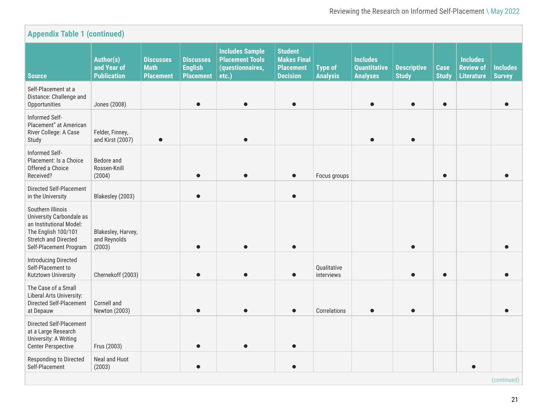| <b>Appendix Table 1 (continued)</b>                                                                                                                      |                                                |                                                     |                                                        |                                                                               |                                                                             |                                   |                                                           |                                    |                             |                                                          |                                  |
|----------------------------------------------------------------------------------------------------------------------------------------------------------|------------------------------------------------|-----------------------------------------------------|--------------------------------------------------------|-------------------------------------------------------------------------------|-----------------------------------------------------------------------------|-----------------------------------|-----------------------------------------------------------|------------------------------------|-----------------------------|----------------------------------------------------------|----------------------------------|
| <b>Source</b>                                                                                                                                            | Author(s)<br>and Year of<br><b>Publication</b> | <b>Discusses</b><br><b>Math</b><br><b>Placement</b> | <b>Discusses</b><br><b>English</b><br><b>Placement</b> | <b>Includes Sample</b><br><b>Placement Tools</b><br>(questionnaires,<br>etc.) | <b>Student</b><br><b>Makes Final</b><br><b>Placement</b><br><b>Decision</b> | <b>Type of</b><br><b>Analysis</b> | <b>Includes</b><br><b>Quantitative</b><br><b>Analyses</b> | <b>Descriptive</b><br><b>Study</b> | <b>Case</b><br><b>Study</b> | <b>Includes</b><br><b>Review of</b><br><b>Literature</b> | <b>Includes</b><br><b>Survey</b> |
| Self-Placement at a<br>Distance: Challenge and<br>Opportunities                                                                                          | Jones (2008)                                   |                                                     |                                                        |                                                                               | $\bullet$                                                                   |                                   |                                                           |                                    | $\bullet$                   |                                                          |                                  |
| Informed Self-<br>Placement" at American<br>River College: A Case<br>Study                                                                               | Felder, Finney,<br>and Kirst (2007)            | $\bullet$                                           |                                                        |                                                                               |                                                                             |                                   |                                                           |                                    |                             |                                                          |                                  |
| Informed Self-<br>Placement: Is a Choice<br>Offered a Choice<br>Received?                                                                                | Bedore and<br>Rossen-Knill<br>(2004)           |                                                     |                                                        |                                                                               | $\bullet$                                                                   | Focus groups                      |                                                           |                                    | $\bullet$                   |                                                          |                                  |
| Directed Self-Placement<br>in the University                                                                                                             | Blakesley (2003)                               |                                                     |                                                        |                                                                               | $\bullet$                                                                   |                                   |                                                           |                                    |                             |                                                          |                                  |
| Southern Illinois<br>University Carbondale as<br>an Institutional Model:<br>The English 100/101<br><b>Stretch and Directed</b><br>Self-Placement Program | Blakesley, Harvey,<br>and Reynolds<br>(2003)   |                                                     |                                                        |                                                                               |                                                                             |                                   |                                                           |                                    |                             |                                                          |                                  |
| <b>Introducing Directed</b><br>Self-Placement to<br>Kutztown University                                                                                  | Chernekoff (2003)                              |                                                     |                                                        |                                                                               | $\bullet$                                                                   | Qualitative<br>interviews         |                                                           |                                    | $\bullet$                   |                                                          |                                  |
| The Case of a Small<br>Liberal Arts University:<br>Directed Self-Placement<br>at Depauw                                                                  | Cornell and<br>Newton (2003)                   |                                                     |                                                        |                                                                               |                                                                             | Correlations                      |                                                           |                                    |                             |                                                          |                                  |
| Directed Self-Placement<br>at a Large Research<br>University: A Writing<br><b>Center Perspective</b>                                                     | Frus (2003)                                    |                                                     |                                                        |                                                                               | $\bullet$                                                                   |                                   |                                                           |                                    |                             |                                                          |                                  |
| Responding to Directed<br>Self-Placement                                                                                                                 | Neal and Huot<br>(2003)                        |                                                     |                                                        |                                                                               | $\bullet$                                                                   |                                   |                                                           |                                    |                             |                                                          |                                  |
|                                                                                                                                                          |                                                |                                                     |                                                        |                                                                               |                                                                             |                                   |                                                           |                                    |                             |                                                          | (continued)                      |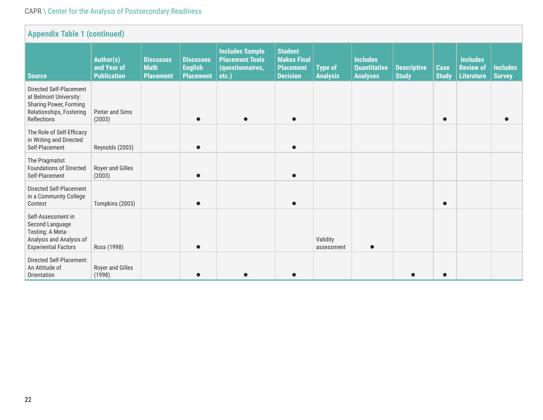#### CAPR \ Center for the Analysis of Postsecondary Readiness

| <b>Appendix Table 1 (continued)</b>                                                                                    |                                                |                                                     |                                                        |                                                                               |                                                                             |                                   |                                                           |                                    |                             |                                                          |                                  |
|------------------------------------------------------------------------------------------------------------------------|------------------------------------------------|-----------------------------------------------------|--------------------------------------------------------|-------------------------------------------------------------------------------|-----------------------------------------------------------------------------|-----------------------------------|-----------------------------------------------------------|------------------------------------|-----------------------------|----------------------------------------------------------|----------------------------------|
| <b>Source</b>                                                                                                          | Author(s)<br>and Year of<br><b>Publication</b> | <b>Discusses</b><br><b>Math</b><br><b>Placement</b> | <b>Discusses</b><br><b>English</b><br><b>Placement</b> | <b>Includes Sample</b><br><b>Placement Tools</b><br>(questionnaires,<br>etc.) | <b>Student</b><br><b>Makes Final</b><br><b>Placement</b><br><b>Decision</b> | <b>Type of</b><br><b>Analysis</b> | <b>Includes</b><br><b>Quantitative</b><br><b>Analyses</b> | <b>Descriptive</b><br><b>Study</b> | <b>Case</b><br><b>Study</b> | <b>Includes</b><br><b>Review of</b><br><b>Literature</b> | <b>Includes</b><br><b>Survey</b> |
| Directed Self-Placement<br>at Belmont University:<br>Sharing Power, Forming<br>Relationships, Fostering<br>Reflections | Pinter and Sims<br>(2003)                      |                                                     |                                                        |                                                                               | $\bullet$                                                                   |                                   |                                                           |                                    | $\bullet$                   |                                                          |                                  |
| The Role of Self-Efficacy<br>in Writing and Directed<br>Self-Placement                                                 | Reynolds (2003)                                |                                                     | ●                                                      |                                                                               | $\bullet$                                                                   |                                   |                                                           |                                    |                             |                                                          |                                  |
| The Pragmatist<br><b>Foundations of Directed</b><br>Self-Placement                                                     | Royer and Gilles<br>(2003)                     |                                                     |                                                        |                                                                               |                                                                             |                                   |                                                           |                                    |                             |                                                          |                                  |
| Directed Self-Placement<br>in a Community College<br>Context                                                           | Tompkins (2003)                                |                                                     |                                                        |                                                                               |                                                                             |                                   |                                                           |                                    |                             |                                                          |                                  |
| Self-Assessment in<br>Second Language<br>Testing: A Meta-<br>Analysis and Analysis of<br><b>Experiential Factors</b>   | Ross (1998)                                    |                                                     |                                                        |                                                                               |                                                                             | Validity<br>assessment            |                                                           |                                    |                             |                                                          |                                  |
| Directed Self-Placement:<br>An Attitude of<br>Orientation                                                              | Royer and Gilles<br>(1998)                     |                                                     |                                                        |                                                                               |                                                                             |                                   |                                                           |                                    |                             |                                                          |                                  |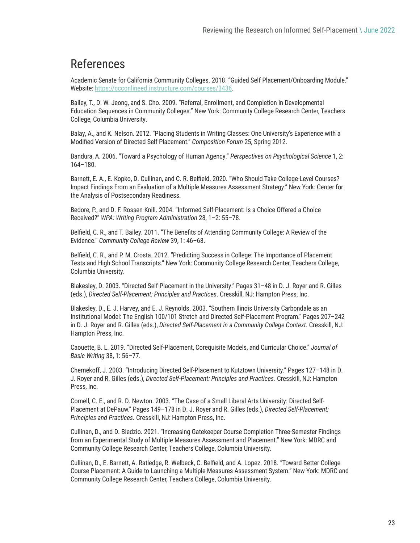## References

Academic Senate for California Community Colleges. 2018. "Guided Self Placement/Onboarding Module." Website:<https://ccconlineed.instructure.com/courses/3436>.

Bailey, T., D. W. Jeong, and S. Cho. 2009. "Referral, Enrollment, and Completion in Developmental Education Sequences in Community Colleges." New York: Community College Research Center, Teachers College, Columbia University.

Balay, A., and K. Nelson. 2012. "Placing Students in Writing Classes: One University's Experience with a Modified Version of Directed Self Placement." *Composition Forum* 25, Spring 2012.

Bandura, A. 2006. "Toward a Psychology of Human Agency." *Perspectives on Psychological Science* 1, 2: 164–180.

Barnett, E. A., E. Kopko, D. Cullinan, and C. R. Belfield. 2020. "Who Should Take College-Level Courses? Impact Findings From an Evaluation of a Multiple Measures Assessment Strategy." New York: Center for the Analysis of Postsecondary Readiness.

Bedore, P., and D. F. Rossen-Knill. 2004. "Informed Self-Placement: Is a Choice Offered a Choice Received?" *WPA: Writing Program Administration* 28, 1–2: 55–78.

Belfield, C. R., and T. Bailey. 2011. "The Benefits of Attending Community College: A Review of the Evidence." *Community College Review* 39, 1: 46–68.

Belfield, C. R., and P. M. Crosta. 2012. "Predicting Success in College: The Importance of Placement Tests and High School Transcripts." New York: Community College Research Center, Teachers College, Columbia University.

Blakesley, D. 2003. "Directed Self-Placement in the University." Pages 31–48 in D. J. Royer and R. Gilles (eds.), *Directed Self-Placement: Principles and Practices*. Cresskill, NJ: Hampton Press, Inc.

Blakesley, D., E. J. Harvey, and E. J. Reynolds. 2003. "Southern Ilinois University Carbondale as an Institutional Model: The English 100/101 Stretch and Directed Self-Placement Program." Pages 207–242 in D. J. Royer and R. Gilles (eds.), *Directed Self-Placement in a Community College Context.* Cresskill, NJ: Hampton Press, Inc.

Caouette, B. L. 2019. "Directed Self-Placement, Corequisite Models, and Curricular Choice." *Journal of Basic Writing* 38, 1: 56–77.

Chernekoff, J. 2003. "Introducing Directed Self-Placement to Kutztown University." Pages 127–148 in D. J. Royer and R. Gilles (eds.), *Directed Self-Placement: Principles and Practices.* Cresskill, NJ: Hampton Press, Inc.

Cornell, C. E., and R. D. Newton. 2003. "The Case of a Small Liberal Arts University: Directed Self-Placement at DePauw." Pages 149–178 in D. J. Royer and R. Gilles (eds.), *Directed Self-Placement: Principles and Practices.* Cresskill, NJ: Hampton Press, Inc.

Cullinan, D., and D. Biedzio. 2021. "Increasing Gatekeeper Course Completion Three-Semester Findings from an Experimental Study of Multiple Measures Assessment and Placement." New York: MDRC and Community College Research Center, Teachers College, Columbia University.

Cullinan, D., E. Barnett, A. Ratledge, R. Welbeck, C. Belfield, and A. Lopez. 2018. "Toward Better College Course Placement: A Guide to Launching a Multiple Measures Assessment System." New York: MDRC and Community College Research Center, Teachers College, Columbia University.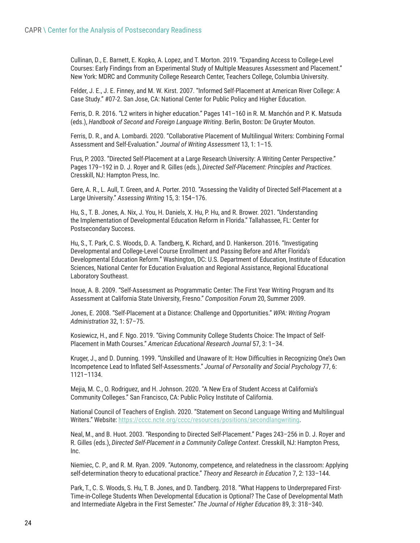Cullinan, D., E. Barnett, E. Kopko, A. Lopez, and T. Morton. 2019. "Expanding Access to College-Level Courses: Early Findings from an Experimental Study of Multiple Measures Assessment and Placement." New York: MDRC and Community College Research Center, Teachers College, Columbia University.

Felder, J. E., J. E. Finney, and M. W. Kirst. 2007. "Informed Self-Placement at American River College: A Case Study." #07-2. San Jose, CA: National Center for Public Policy and Higher Education.

Ferris, D. R. 2016. "L2 writers in higher education." Pages 141–160 in R. M. Manchón and P. K. Matsuda (eds.), *Handbook of Second and Foreign Language Writing*. Berlin, Boston: De Gruyter Mouton.

Ferris, D. R., and A. Lombardi. 2020. "Collaborative Placement of Multilingual Writers: Combining Formal Assessment and Self-Evaluation." *Journal of Writing Assessment* 13, 1: 1–15.

Frus, P. 2003. "Directed Self-Placement at a Large Research University: A Writing Center Perspective." Pages 179–192 in D. J. Royer and R. Gilles (eds.), *Directed Self-Placement: Principles and Practices.* Cresskill, NJ: Hampton Press, Inc.

Gere, A. R., L. Aull, T. Green, and A. Porter. 2010. "Assessing the Validity of Directed Self-Placement at a Large University." *Assessing Writing* 15, 3: 154–176.

Hu, S., T. B. Jones, A. Nix, J. You, H. Daniels, X. Hu, P. Hu, and R. Brower. 2021. "Understanding the Implementation of Developmental Education Reform in Florida." Tallahassee, FL: Center for Postsecondary Success.

Hu, S., T. Park, C. S. Woods, D. A. Tandberg, K. Richard, and D. Hankerson. 2016. "Investigating Developmental and College-Level Course Enrollment and Passing Before and After Florida's Developmental Education Reform." Washington, DC: U.S. Department of Education, Institute of Education Sciences, National Center for Education Evaluation and Regional Assistance, Regional Educational Laboratory Southeast.

Inoue, A. B. 2009. "Self-Assessment as Programmatic Center: The First Year Writing Program and Its Assessment at California State University, Fresno." *Composition Forum* 20, Summer 2009.

Jones, E. 2008. "Self-Placement at a Distance: Challenge and Opportunities." *WPA: Writing Program Administration* 32, 1: 57–75.

Kosiewicz, H., and F. Ngo. 2019. "Giving Community College Students Choice: The Impact of Self-Placement in Math Courses." *American Educational Research Journal* 57, 3: 1–34.

Kruger, J., and D. Dunning. 1999. "Unskilled and Unaware of It: How Difficulties in Recognizing One's Own Incompetence Lead to Inflated Self-Assessments." *Journal of Personality and Social Psychology* 77, 6: 1121–1134.

Mejia, M. C., O. Rodriguez, and H. Johnson. 2020. "A New Era of Student Access at California's Community Colleges." San Francisco, CA: Public Policy Institute of California.

National Council of Teachers of English. 2020. "Statement on Second Language Writing and Multilingual Writers." Website: [https://cccc.ncte.org/cccc/resources/positions/secondlangwriting.](https://cccc.ncte.org/cccc/resources/positions/secondlangwriting)

Neal, M., and B. Huot. 2003. "Responding to Directed Self-Placement." Pages 243–256 in D. J. Royer and R. Gilles (eds.), *Directed Self-Placement in a Community College Context*. Cresskill, NJ: Hampton Press, Inc.

Niemiec, C. P., and R. M. Ryan. 2009. "Autonomy, competence, and relatedness in the classroom: Applying self-determination theory to educational practice." *Theory and Research in Education* 7, 2: 133–144.

Park, T., C. S. Woods, S. Hu, T. B. Jones, and D. Tandberg. 2018. "What Happens to Underprepared First-Time-in-College Students When Developmental Education is Optional? The Case of Developmental Math and Intermediate Algebra in the First Semester." *The Journal of Higher Education* 89, 3: 318–340.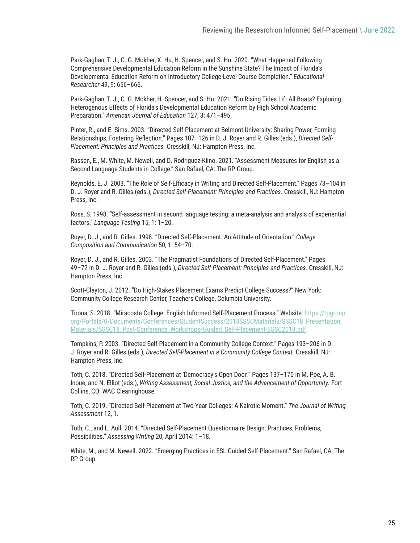Park-Gaghan, T. J., C. G. Mokher, X. Hu, H. Spencer, and S. Hu. 2020. "What Happened Following Comprehensive Developmental Education Reform in the Sunshine State? The Impact of Florida's Developmental Education Reform on Introductory College-Level Course Completion." *Educational Researcher* 49, 9: 656–666.

Park-Gaghan, T. J., C. G. Mokher, H. Spencer, and S. Hu. 2021. "Do Rising Tides Lift All Boats? Exploring Heterogenous Effects of Florida's Developmental Education Reform by High School Academic Preparation." *American Journal of Education* 127, 3: 471–495.

Pinter, R., and E. Sims. 2003. "Directed Self-Placement at Belmont University: Sharing Power, Forming Relationships, Fostering Reflection." Pages 107–126 in D. J. Royer and R. Gilles (eds.), *Directed Self-Placement: Principles and Practices.* Cresskill, NJ: Hampton Press, Inc.

Rassen, E., M. White, M. Newell, and D. Rodriguez-Kiino. 2021. "Assessment Measures for English as a Second Language Students in College." San Rafael, CA: The RP Group.

Reynolds, E. J. 2003. "The Role of Self-Efficacy in Writing and Directed Self-Placement." Pages 73–104 in D. J. Royer and R. Gilles (eds.), *Directed Self-Placement: Principles and Practices.* Cresskill, NJ: Hampton Press, Inc.

Ross, S. 1998. "Self-assessment in second language testing: a meta-analysis and analysis of experiential factors." *Language Testing* 15, 1: 1–20.

Royer, D. J., and R. Gilles. 1998. "Directed Self-Placement: An Attitude of Orientation." *College Composition and Communication* 50, 1: 54–70.

Royer, D. J., and R. Gilles. 2003. "The Pragmatist Foundations of Directed Self-Placement." Pages 49–72 in D. J. Royer and R. Gilles (eds.), *Directed Self-Placement: Principles and Practices.* Cresskill, NJ: Hampton Press, Inc.

Scott-Clayton, J. 2012. "Do High-Stakes Placement Exams Predict College Success?" New York: Community College Research Center, Teachers College, Columbia University.

Tirona, S. 2018. "Miracosta College: English Informed Self-Placement Process." Website: https://rpgroup. org/Portals/0/Documents/Conferences/StudentSuccess/2018SSSCMaterials/SSSC18\_Presentation\_ Materials/SSSC18\_Post-Conference\_Workshops/Guided\_Self-Placement-SSSC2018.pdf.

Tompkins, P. 2003. "Directed Self-Placement in a Community College Context." Pages 193–206 in D. J. Royer and R. Gilles (eds.), *Directed Self-Placement in a Community College Context.* Cresskill, NJ: Hampton Press, Inc.

Toth, C. 2018. "Directed Self-Placement at 'Democracy's Open Door.'" Pages 137–170 in M. Poe, A. B. Inoue, and N. Elliot (eds.), *Writing Assessment, Social Justice, and the Advancement of Opportunity.* Fort Collins, CO: WAC Clearinghouse.

Toth, C. 2019. "Directed Self-Placement at Two-Year Colleges: A Kairotic Moment." *The Journal of Writing Assessment* 12, 1.

Toth, C., and L. Aull. 2014. "Directed Self-Placement Questionnaire Design: Practices, Problems, Possibilities." *Assessing Writing* 20, April 2014: 1–18.

White, M., and M. Newell. 2022. "Emerging Practices in ESL Guided Self-Placement." San Rafael, CA: The RP Group.